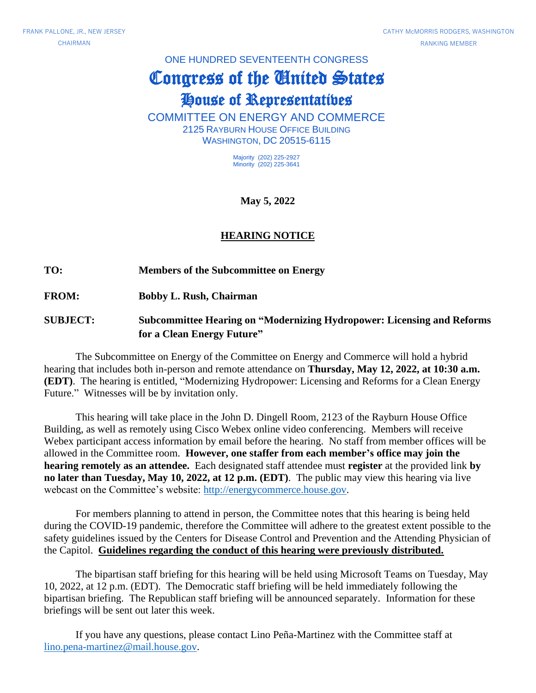#### ONE HUNDRED SEVENTEENTH CONGRESS

# Congress of the United States

## House of Representatives

COMMITTEE ON ENERGY AND COMMERCE 2125 RAYBURN HOUSE OFFICE BUILDING WASHINGTON, DC 20515-6115

> Majority (202) 225-2927 Minority (202) 225-3641

> > **May 5, 2022**

### **HEARING NOTICE**

#### **TO: Members of the Subcommittee on Energy**

**FROM: Bobby L. Rush, Chairman**

### **SUBJECT: Subcommittee Hearing on "Modernizing Hydropower: Licensing and Reforms for a Clean Energy Future"**

The Subcommittee on Energy of the Committee on Energy and Commerce will hold a hybrid hearing that includes both in-person and remote attendance on **Thursday, May 12, 2022, at 10:30 a.m. (EDT)**. The hearing is entitled, "Modernizing Hydropower: Licensing and Reforms for a Clean Energy Future." Witnesses will be by invitation only.

This hearing will take place in the John D. Dingell Room, 2123 of the Rayburn House Office Building, as well as remotely using Cisco Webex online video conferencing. Members will receive Webex participant access information by email before the hearing. No staff from member offices will be allowed in the Committee room. **However, one staffer from each member's office may join the hearing remotely as an attendee.** Each designated staff attendee must **register** at the provided link **by no later than Tuesday, May 10, 2022, at 12 p.m. (EDT)**. The public may view this hearing via live webcast on the Committee's website: [http://energycommerce.house.gov.](http://energycommerce.house.gov/)

For members planning to attend in person, the Committee notes that this hearing is being held during the COVID-19 pandemic, therefore the Committee will adhere to the greatest extent possible to the safety guidelines issued by the Centers for Disease Control and Prevention and the Attending Physician of the Capitol. **Guidelines regarding the conduct of this hearing were previously distributed.**

The bipartisan staff briefing for this hearing will be held using Microsoft Teams on Tuesday, May 10, 2022, at 12 p.m. (EDT). The Democratic staff briefing will be held immediately following the bipartisan briefing. The Republican staff briefing will be announced separately. Information for these briefings will be sent out later this week.

If you have any questions, please contact Lino Peña-Martinez with the Committee staff at [lino.pena-martinez@mail.house.gov.](mailto:lino.pena-martinez@mail.house.gov)